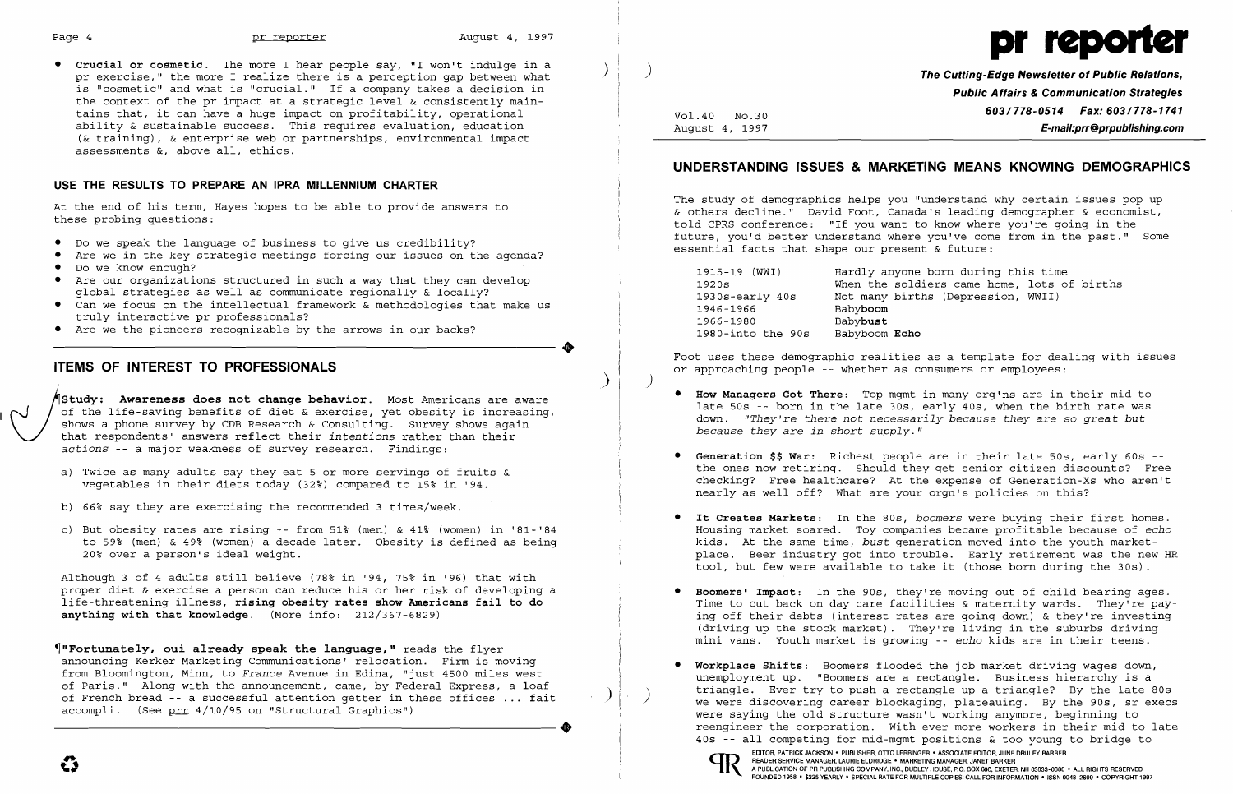į.



**• Crucial or cosmetic.** The more I hear people say, "I won't indulge in a ) pr exercise," the more I realize there is a perception gap between what is "cosmetic" and what is "crucial." If a company takes a decision in the context of the pr impact at a strategic level & consistently maintains that, it can have a huge impact on profitability, operational ability & sustainable success. This requires evaluation, education (& training), & enterprise web or partnerships, environmental impact assessments &, above all, ethics.

## **USE THE RESULTS TO PREPARE AN IPRA MILLENNIUM CHARTER**

At the end of his term, Hayes hopes to be able to provide answers to these probing questions:

Study: Awareness does not change behavior. Most Americans are aware<br>of the life-saving benefits of diet & exercise, yet obesity is increasing<br>shows a phone survey by CDB Research & Consulting. Survey shows again<br>that respo of the life-saving benefits of diet & exercise, yet obesity is increasing, shows a phone survey by CDB Research & Consulting. Survey shows again that respondents' answers reflect their *intentions* rather than their *actions* -- a major weakness of survey research. Findings:

- • Do we speak the language of business to give us credibility?
- Are we in the key strategic meetings forcing our issues on the agenda?
- • Do we know enough?
- Are our organizations structured in such a way that they can develop global strategies as well as communicate regionally & locally?
- • Can we focus on the intellectual framework & methodologies that make us truly interactive pr professionals?
- • Are we the pioneers recognizable by the arrows in our backs?

- a) Twice as many adults say they eat 5 or more servings of fruits  $\&$ vegetables in their diets today  $(32\%)$  compared to  $15\%$  in '94.
- b) 66% say they are exercising the recommended 3 times/week.
- c) But obesity rates are rising -- from  $51\%$  (men) &  $41\%$  (women) in '81-'84 to 59~ (men) & 49~ (women) a decade later. Obesity is defined as being 20~ over a person's ideal weight.

Although 3 of 4 adults still believe (78% in '94, 75% in '96) that with proper diet & exercise a person can reduce his or her risk of developing a life-threatening illness, **rising obesity rates show Americans fail to do anything with that knowledge.** (More info: 212/367-6829)

..

 $\bm{\lambda}$ 

## **ITEMS OF INTEREST TO PROFESSIONALS**

~"Fortunately, **oui already speak the language,"** reads the flyer announcing Kerker Marketing Communications' relocation. Firm is moving from Bloomington, Minn, to *France* Avenue in Edina, "just 4500 miles west of Paris." Along with the announcement, came, by Federal Express, a loaf of French bread -- a successful attention getter in these offices ... fait accompli. (See prr 4/10/95 on "Structural Graphics")

unemployment up. "Boomers are a rectangle. Business hierarchy is a triangle. Ever try to push a rectangle up a triangle? By the late 80s we were discovering career blockaging, plateauing. By the 90s, sr execs were saying the old structure wasn't working anymore, beginning to reengineer the corporation. With ever more workers in their mid to late 40s -- all competing for mid-mgmt positions & too young to bridge to EDITOR, PATRICK JACKSON • PUBLISHER, OTTO LERBINGER • ASSOCIATE EDITOR, JUNE DRULEY BARBER<br>READER SERVICE MANAGER, LAURIE ELDRIDGE • MARKETING MANAGER, JANET BARKER<br>A PUBLICATION OF PR PUBLISHING COMPANY, INC., DUDLEY HOUS

) **The Cutting-Edge Newsletter of Public Relations, Public Affairs & Communication Strategies 603/778-0514 Fax: 603/778-1741** Vol.40 NO.30 August 4, 1997 **E-mail:prr@prpublishing.com** 

> 1915-1915 end during this time Idiers came home, lots of births ths (Depression, WWII)

# **UNDERSTANDING ISSUES & MARKETING MEANS KNOWING DEMOGRAPHICS**

The study of demographics helps you "understand why certain issues pop up & others decline." David Foot, Canada's leading demographer & economist, told CPRS conference: "If you want to know where you're going in the future, you'd better understand where you've come from in the past." Some essential facts that shape our present & future:

| 1915-19 (WWI)     | Hardly anyone  |
|-------------------|----------------|
| 1920s             | When the sold: |
| 1930s-early 40s   | Not many birtl |
| 1946-1966         | Babyboom       |
| 1966-1980         | Babybust       |
| 1980-into the 90s | Babyboom Echo  |
|                   |                |

Foot uses these demographic realities as a template for dealing with issues or approaching people -- whether as consumers or employees:

)

late 50s -- born in the late 30s, early 40s, when the birth rate was down. *"They're there not necessarily because they* are *so great but* 

the ones now retiring. Should they get senior citizen discounts? Free checking? Free healthcare? At the expense of Generation-Xs who aren't

- **• How Managers Got There:** Top mgmt in many org'ns are in their mid to *because they are in short supply."*
- **• Generation \$\$ War:** Richest people are in their late 50s, early 60s nearly as well off? What are your orgn's policies on this?
- **• It Creates Markets:** In the 80s, *boomers* were buying their first homes.
- **• Boomers' Impact:** In the 90s, they're moving out of child bearing ages.
- **Workplace Shifts:** Boomers flooded the job market driving wages down,

EDITOR, PATRICK JACKSON . PUBLISHIER, OTTO LERBINGER . ASSOCIATE EDITOR, JUNE DRULEY BARBER<br>READER SERVICE MANAGER, LAURIE ELDRIDGE . MARKETING MANAGER, JANET BARKER<br>FOUNDED 1958 . \$225 YEARLY . SPECIAL RATE FOR MULTIPLE C

Housing market soared. Toy companies became profitable because of *echo*  kids. At the same time, *bust* generation moved into the youth marketplace. Beer industry got into trouble. Early retirement was the new HR tool, but few were available to take it (those born during the 30s).

Time to cut back on day care facilities & maternity wards. They're paying off their debts (interest rates are going down) & they're investing (driving up the stock market). They're living in the suburbs driving mini vans. Youth market is growing -- *echo* kids are in their teens.